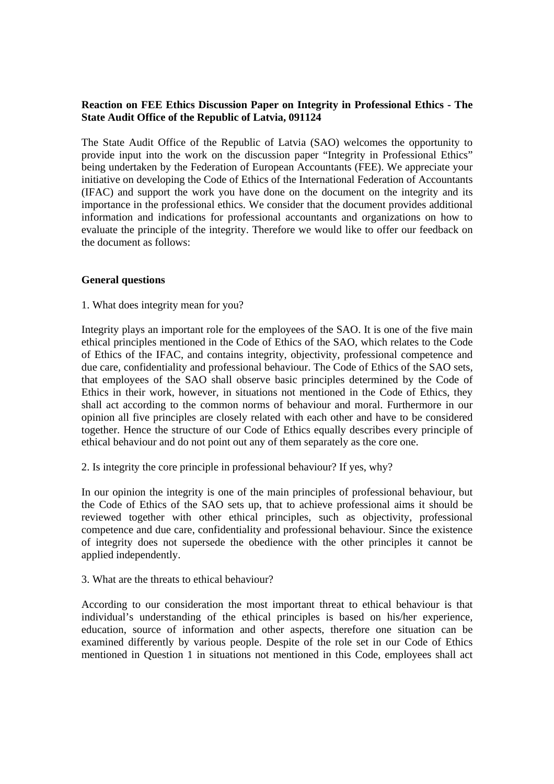# **Reaction on FEE Ethics Discussion Paper on Integrity in Professional Ethics - The State Audit Office of the Republic of Latvia, 091124**

The State Audit Office of the Republic of Latvia (SAO) welcomes the opportunity to provide input into the work on the discussion paper "Integrity in Professional Ethics" being undertaken by the Federation of European Accountants (FEE). We appreciate your initiative on developing the Code of Ethics of the International Federation of Accountants (IFAC) and support the work you have done on the document on the integrity and its importance in the professional ethics. We consider that the document provides additional information and indications for professional accountants and organizations on how to evaluate the principle of the integrity. Therefore we would like to offer our feedback on the document as follows:

# **General questions**

# 1. What does integrity mean for you?

Integrity plays an important role for the employees of the SAO. It is one of the five main ethical principles mentioned in the Code of Ethics of the SAO, which relates to the Code of Ethics of the IFAC, and contains integrity, objectivity, professional competence and due care, confidentiality and professional behaviour. The Code of Ethics of the SAO sets, that employees of the SAO shall observe basic principles determined by the Code of Ethics in their work, however, in situations not mentioned in the Code of Ethics, they shall act according to the common norms of behaviour and moral. Furthermore in our opinion all five principles are closely related with each other and have to be considered together. Hence the structure of our Code of Ethics equally describes every principle of ethical behaviour and do not point out any of them separately as the core one.

2. Is integrity the core principle in professional behaviour? If yes, why?

In our opinion the integrity is one of the main principles of professional behaviour, but the Code of Ethics of the SAO sets up, that to achieve professional aims it should be reviewed together with other ethical principles, such as objectivity, professional competence and due care, confidentiality and professional behaviour. Since the existence of integrity does not supersede the obedience with the other principles it cannot be applied independently.

# 3. What are the threats to ethical behaviour?

According to our consideration the most important threat to ethical behaviour is that individual's understanding of the ethical principles is based on his/her experience, education, source of information and other aspects, therefore one situation can be examined differently by various people. Despite of the role set in our Code of Ethics mentioned in Question 1 in situations not mentioned in this Code, employees shall act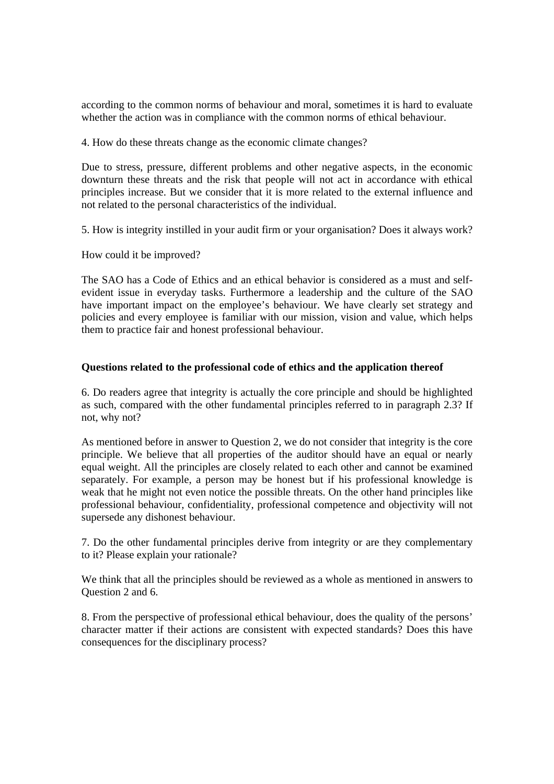according to the common norms of behaviour and moral, sometimes it is hard to evaluate whether the action was in compliance with the common norms of ethical behaviour.

4. How do these threats change as the economic climate changes?

Due to stress, pressure, different problems and other negative aspects, in the economic downturn these threats and the risk that people will not act in accordance with ethical principles increase. But we consider that it is more related to the external influence and not related to the personal characteristics of the individual.

5. How is integrity instilled in your audit firm or your organisation? Does it always work?

How could it be improved?

The SAO has a Code of Ethics and an ethical behavior is considered as a must and selfevident issue in everyday tasks. Furthermore a leadership and the culture of the SAO have important impact on the employee's behaviour. We have clearly set strategy and policies and every employee is familiar with our mission, vision and value, which helps them to practice fair and honest professional behaviour.

### **Questions related to the professional code of ethics and the application thereof**

6. Do readers agree that integrity is actually the core principle and should be highlighted as such, compared with the other fundamental principles referred to in paragraph 2.3? If not, why not?

As mentioned before in answer to Question 2, we do not consider that integrity is the core principle. We believe that all properties of the auditor should have an equal or nearly equal weight. All the principles are closely related to each other and cannot be examined separately. For example, a person may be honest but if his professional knowledge is weak that he might not even notice the possible threats. On the other hand principles like professional behaviour, confidentiality, professional competence and objectivity will not supersede any dishonest behaviour.

7. Do the other fundamental principles derive from integrity or are they complementary to it? Please explain your rationale?

We think that all the principles should be reviewed as a whole as mentioned in answers to Question 2 and 6.

8. From the perspective of professional ethical behaviour, does the quality of the persons' character matter if their actions are consistent with expected standards? Does this have consequences for the disciplinary process?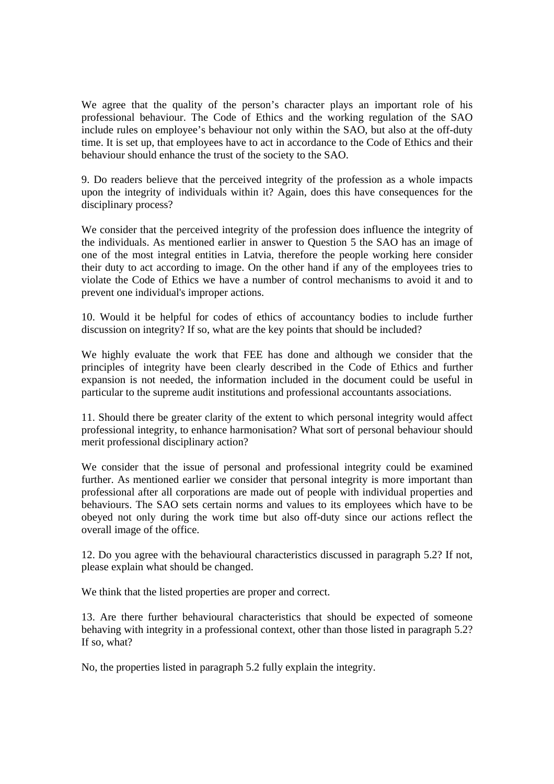We agree that the quality of the person's character plays an important role of his professional behaviour. The Code of Ethics and the working regulation of the SAO include rules on employee's behaviour not only within the SAO, but also at the off-duty time. It is set up, that employees have to act in accordance to the Code of Ethics and their behaviour should enhance the trust of the society to the SAO.

9. Do readers believe that the perceived integrity of the profession as a whole impacts upon the integrity of individuals within it? Again, does this have consequences for the disciplinary process?

We consider that the perceived integrity of the profession does influence the integrity of the individuals. As mentioned earlier in answer to Question 5 the SAO has an image of one of the most integral entities in Latvia, therefore the people working here consider their duty to act according to image. On the other hand if any of the employees tries to violate the Code of Ethics we have a number of control mechanisms to avoid it and to prevent one individual's improper actions.

10. Would it be helpful for codes of ethics of accountancy bodies to include further discussion on integrity? If so, what are the key points that should be included?

We highly evaluate the work that FEE has done and although we consider that the principles of integrity have been clearly described in the Code of Ethics and further expansion is not needed, the information included in the document could be useful in particular to the supreme audit institutions and professional accountants associations.

11. Should there be greater clarity of the extent to which personal integrity would affect professional integrity, to enhance harmonisation? What sort of personal behaviour should merit professional disciplinary action?

We consider that the issue of personal and professional integrity could be examined further. As mentioned earlier we consider that personal integrity is more important than professional after all corporations are made out of people with individual properties and behaviours. The SAO sets certain norms and values to its employees which have to be obeyed not only during the work time but also off-duty since our actions reflect the overall image of the office.

12. Do you agree with the behavioural characteristics discussed in paragraph 5.2? If not, please explain what should be changed.

We think that the listed properties are proper and correct.

13. Are there further behavioural characteristics that should be expected of someone behaving with integrity in a professional context, other than those listed in paragraph 5.2? If so, what?

No, the properties listed in paragraph 5.2 fully explain the integrity.